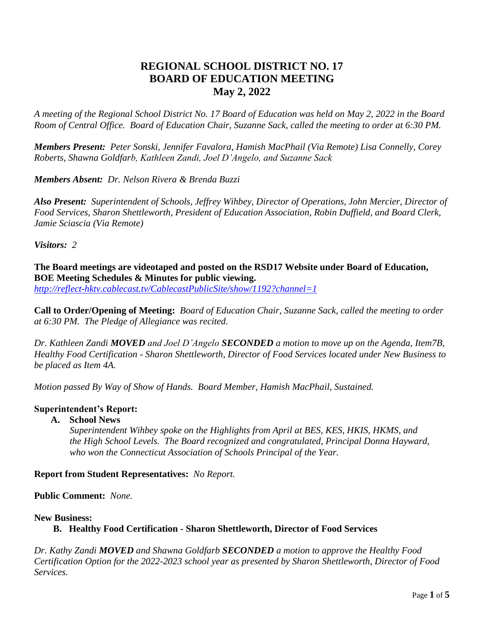# **REGIONAL SCHOOL DISTRICT NO. 17 BOARD OF EDUCATION MEETING May 2, 2022**

*A meeting of the Regional School District No. 17 Board of Education was held on May 2, 2022 in the Board Room of Central Office. Board of Education Chair, Suzanne Sack, called the meeting to order at 6:30 PM.*

*Members Present: Peter Sonski, Jennifer Favalora, Hamish MacPhail (Via Remote) Lisa Connelly, Corey Roberts, Shawna Goldfarb, Kathleen Zandi, Joel D'Angelo, and Suzanne Sack*

*Members Absent: Dr. Nelson Rivera & Brenda Buzzi*

*Also Present: Superintendent of Schools, Jeffrey Wihbey, Director of Operations, John Mercier, Director of Food Services, Sharon Shettleworth, President of Education Association, Robin Duffield, and Board Clerk, Jamie Sciascia (Via Remote)*

*Visitors: 2*

**The Board meetings are videotaped and posted on the RSD17 Website under Board of Education, BOE Meeting Schedules & Minutes for public viewing.**

*<http://reflect-hktv.cablecast.tv/CablecastPublicSite/show/1192?channel=1>*

**Call to Order/Opening of Meeting:** *Board of Education Chair, Suzanne Sack, called the meeting to order at 6:30 PM. The Pledge of Allegiance was recited.*

*Dr. Kathleen Zandi MOVED and Joel D'Angelo SECONDED a motion to move up on the Agenda, Item7B, Healthy Food Certification - Sharon Shettleworth, Director of Food Services located under New Business to be placed as Item 4A.*

*Motion passed By Way of Show of Hands. Board Member, Hamish MacPhail, Sustained.*

# **Superintendent's Report:**

 **A. School News**

*Superintendent Wihbey spoke on the Highlights from April at BES, KES, HKIS, HKMS, and the High School Levels. The Board recognized and congratulated, Principal Donna Hayward, who won the Connecticut Association of Schools Principal of the Year.*

**Report from Student Representatives:** *No Report.* 

**Public Comment:** *None.*

### **New Business:**

# **B. Healthy Food Certification - Sharon Shettleworth, Director of Food Services**

*Dr. Kathy Zandi MOVED and Shawna Goldfarb SECONDED a motion to approve the Healthy Food Certification Option for the 2022-2023 school year as presented by Sharon Shettleworth, Director of Food Services.*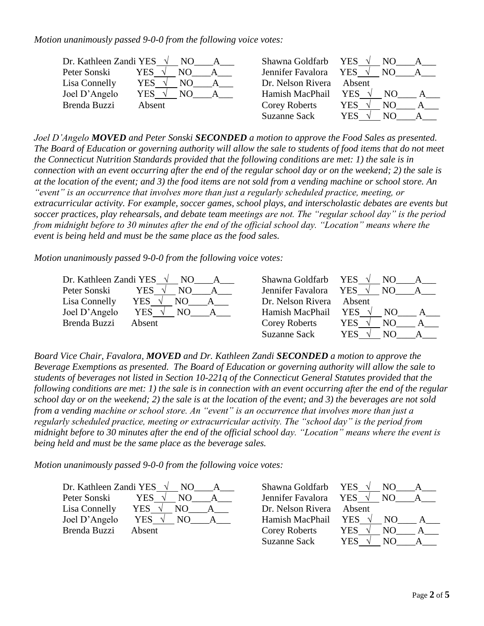*Motion unanimously passed 9-0-0 from the following voice votes:*

| Dr. Kathleen Zandi YES | NO.        | Shawna Goldfarb      | YES $\sqrt{ }$<br>NO. |
|------------------------|------------|----------------------|-----------------------|
| Peter Sonski           | YES<br>NО  | Jennifer Favalora    | YES $\sqrt{ }$<br>NO. |
| Lisa Connelly          | YES<br>NO. | Dr. Nelson Rivera    | Absent                |
| Joel D'Angelo          | YES<br>NO. | Hamish MacPhail      | <b>YES</b>            |
| Brenda Buzzi           | Absent     | <b>Corey Roberts</b> | YES<br>NΟ             |
|                        |            | Suzanne Sack         | YES<br>NΩ             |

*Joel D'Angelo MOVED and Peter Sonski SECONDED a motion to approve the Food Sales as presented. The Board of Education or governing authority will allow the sale to students of food items that do not meet the Connecticut Nutrition Standards provided that the following conditions are met: 1) the sale is in connection with an event occurring after the end of the regular school day or on the weekend; 2) the sale is at the location of the event; and 3) the food items are not sold from a vending machine or school store. An "event" is an occurrence that involves more than just a regularly scheduled practice, meeting, or extracurricular activity. For example, soccer games, school plays, and interscholastic debates are events but soccer practices, play rehearsals, and debate team meetings are not. The "regular school day" is the period from midnight before to 30 minutes after the end of the official school day. "Location" means where the event is being held and must be the same place as the food sales.*

*Motion unanimously passed 9-0-0 from the following voice votes:*

| Dr. Kathleen Zandi YES $\sqrt{}$ | NO.                   | Shawna Goldfarb      | YES $\sqrt{ }$<br>NO. |
|----------------------------------|-----------------------|----------------------|-----------------------|
| Peter Sonski                     | <b>YES</b><br>NО      | Jennifer Favalora    | YES $\sqrt{ }$<br>NO. |
| Lisa Connelly                    | YES<br>NO             | Dr. Nelson Rivera    | Absent                |
| Joel D'Angelo                    | YES $\sqrt{ }$<br>NO. | Hamish MacPhail      | <b>YES</b><br>NO.     |
| Brenda Buzzi                     | Absent                | <b>Corey Roberts</b> | YES<br>NO.            |
|                                  |                       | Suzanne Sack         | YES<br>NO.            |

*Board Vice Chair, Favalora, MOVED and Dr. Kathleen Zandi SECONDED a motion to approve the Beverage Exemptions as presented. The Board of Education or governing authority will allow the sale to students of beverages not listed in Section 10-221q of the Connecticut General Statutes provided that the following conditions are met: 1) the sale is in connection with an event occurring after the end of the regular school day or on the weekend; 2) the sale is at the location of the event; and 3) the beverages are not sold from a vending machine or school store. An "event" is an occurrence that involves more than just a regularly scheduled practice, meeting or extracurricular activity. The "school day" is the period from midnight before to 30 minutes after the end of the official school day. "Location" means where the event is being held and must be the same place as the beverage sales.*

*Motion unanimously passed 9-0-0 from the following voice votes:*

Dr. Kathleen Zandi YES √ NO\_\_\_\_A\_\_\_ Shawna Goldfarb YES √ NO\_ Peter Sonski YES √ NO A Jennifer Favalora YES √ NO Lisa Connelly YES **√** NO\_\_\_\_A\_\_\_ Dr. Nelson Rivera Absent Joel D'Angelo YES **√** NO\_\_\_\_A\_\_\_ Hamish MacPhail YES **√** NO\_\_\_\_ A\_\_\_ Brenda Buzzi Absent Corey Roberts YES √ NO\_\_\_\_ A\_\_\_

Suzanne Sack YES √ NO\_\_\_\_A\_\_\_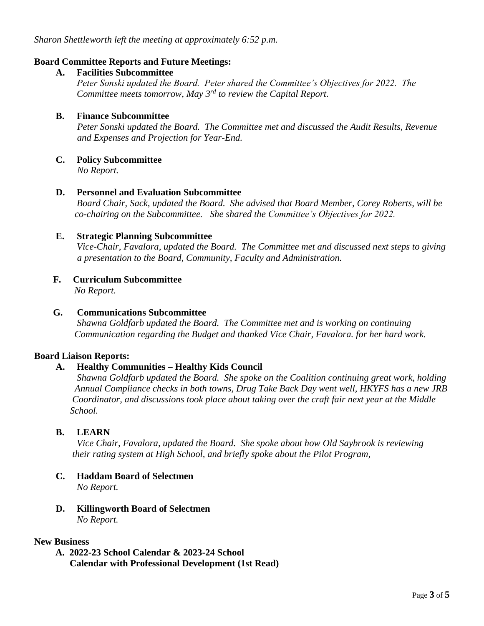## **Board Committee Reports and Future Meetings:**

### **A. Facilities Subcommittee**

*Peter Sonski updated the Board. Peter shared the Committee's Objectives for 2022. The Committee meets tomorrow, May 3rd to review the Capital Report.*

## **B. Finance Subcommittee**

*Peter Sonski updated the Board. The Committee met and discussed the Audit Results, Revenue and Expenses and Projection for Year-End.*

# **C. Policy Subcommittee**

*No Report.*

### **D. Personnel and Evaluation Subcommittee**

*Board Chair, Sack, updated the Board. She advised that Board Member, Corey Roberts, will be co-chairing on the Subcommittee. She shared the Committee's Objectives for 2022.*

### **E. Strategic Planning Subcommittee**

*Vice-Chair, Favalora, updated the Board. The Committee met and discussed next steps to giving a presentation to the Board, Community, Faculty and Administration.*

# **F. Curriculum Subcommittee**

 *No Report.*

## **G. Communications Subcommittee**

*Shawna Goldfarb updated the Board. The Committee met and is working on continuing Communication regarding the Budget and thanked Vice Chair, Favalora. for her hard work.* 

# **Board Liaison Reports:**

# **A. Healthy Communities – Healthy Kids Council**

*Shawna Goldfarb updated the Board. She spoke on the Coalition continuing great work, holding Annual Compliance checks in both towns, Drug Take Back Day went well, HKYFS has a new JRB Coordinator, and discussions took place about taking over the craft fair next year at the Middle School.*

### **B. LEARN**

*Vice Chair, Favalora, updated the Board. She spoke about how Old Saybrook is reviewing their rating system at High School, and briefly spoke about the Pilot Program,*

- **C. Haddam Board of Selectmen** *No Report.*
- **D. Killingworth Board of Selectmen** *No Report.*

### **New Business**

 **A. 2022-23 School Calendar & 2023-24 School Calendar with Professional Development (1st Read)**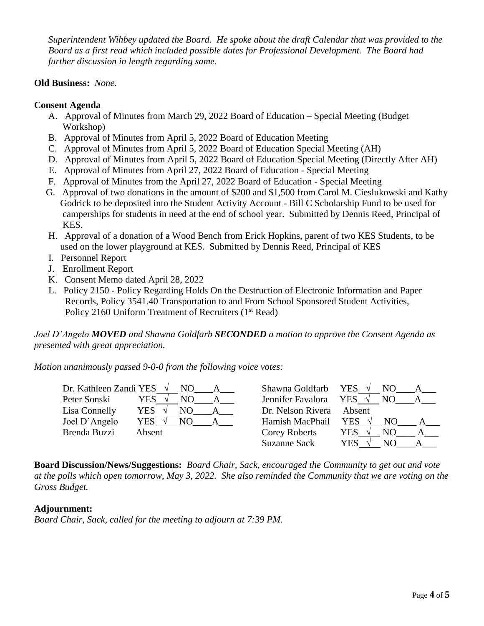*Superintendent Wihbey updated the Board. He spoke about the draft Calendar that was provided to the Board as a first read which included possible dates for Professional Development. The Board had further discussion in length regarding same.*

## **Old Business:** *None.*

### **Consent Agenda**

- A. Approval of Minutes from March 29, 2022 Board of Education Special Meeting (Budget Workshop)
- B. Approval of Minutes from April 5, 2022 Board of Education Meeting
- C. Approval of Minutes from April 5, 2022 Board of Education Special Meeting (AH)
- D. Approval of Minutes from April 5, 2022 Board of Education Special Meeting (Directly After AH)
- E. Approval of Minutes from April 27, 2022 Board of Education Special Meeting
- F. Approval of Minutes from the April 27, 2022 Board of Education Special Meeting
- G. Approval of two donations in the amount of \$200 and \$1,500 from Carol M. Cieslukowski and Kathy Godrick to be deposited into the Student Activity Account - Bill C Scholarship Fund to be used for camperships for students in need at the end of school year. Submitted by Dennis Reed, Principal of KES.
- H. Approval of a donation of a Wood Bench from Erick Hopkins, parent of two KES Students, to be used on the lower playground at KES. Submitted by Dennis Reed, Principal of KES
- I. Personnel Report
- J. Enrollment Report
- K. Consent Memo dated April 28, 2022
- L. Policy 2150 Policy Regarding Holds On the Destruction of Electronic Information and Paper Records, Policy 3541.40 Transportation to and From School Sponsored Student Activities, Policy 2160 Uniform Treatment of Recruiters (1<sup>st</sup> Read)

*Joel D'Angelo MOVED and Shawna Goldfarb SECONDED a motion to approve the Consent Agenda as presented with great appreciation.*

*Motion unanimously passed 9-0-0 from the following voice votes:*

| Dr. Kathleen Zandi YES $\sqrt{}$ | NO.          | Shawna Goldfarb   | YES $\sqrt{ }$<br>NO. |
|----------------------------------|--------------|-------------------|-----------------------|
| Peter Sonski                     | YES<br>NO.   | Jennifer Favalora | YES.<br>NO.           |
| Lisa Connelly                    | YES<br>NO.   | Dr. Nelson Rivera | Absent                |
| Joel D'Angelo                    | YES √<br>NO. | Hamish MacPhail   | <b>YES</b><br>NO.     |
| Brenda Buzzi                     | Absent       | Corey Roberts     | YES<br>NO.            |
|                                  |              | Suzanne Sack      | YES<br>NО             |

**Board Discussion/News/Suggestions:** *Board Chair, Sack, encouraged the Community to get out and vote at the polls which open tomorrow, May 3, 2022. She also reminded the Community that we are voting on the Gross Budget.* 

### **Adjournment:**

*Board Chair, Sack, called for the meeting to adjourn at 7:39 PM.*